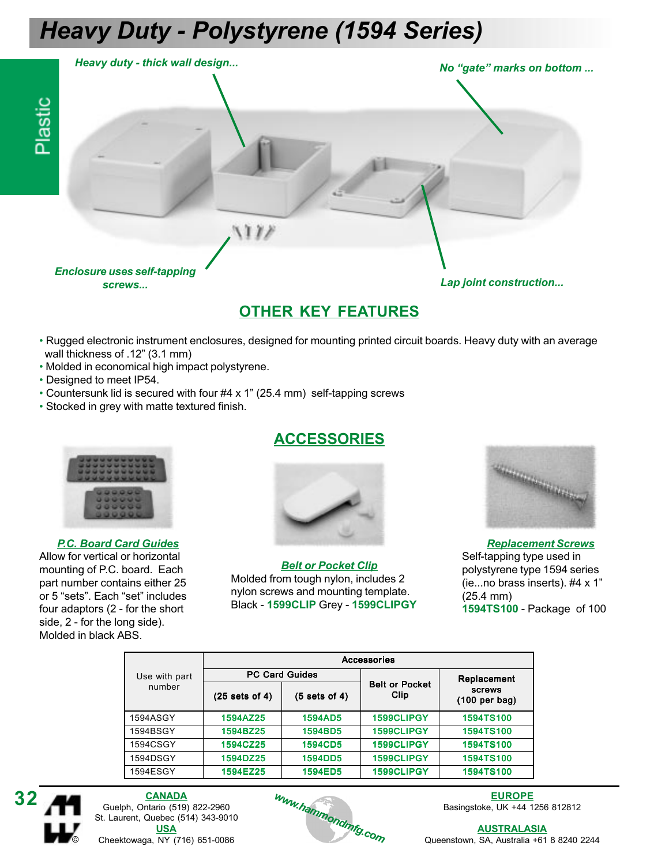## Heavy Duty - Polystyrene (1594 Series)



#### OTHER KEY FEATURES

- Rugged electronic instrument enclosures, designed for mounting printed circuit boards. Heavy duty with an average wall thickness of .12" (3.1 mm)
- Molded in economical high impact polystyrene.
- Designed to meet IP54.
- Countersunk lid is secured with four #4 x 1" (25.4 mm) self-tapping screws
- Stocked in grey with matte textured finish.



P.C. Board Card Guides Allow for vertical or horizontal mounting of P.C. board. Each part number contains either 25 or 5 "sets". Each "set" includes four adaptors (2 - for the short side, 2 - for the long side). Molded in black ABS.

### ACCESSORIES



Belt or Pocket Clip Molded from tough nylon, includes 2 nylon screws and mounting template. Black - 1599CLIP Grey - 1599CLIPGY



#### Replacement Screws Self-tapping type used in polystyrene type 1594 series (ie...no brass inserts). #4 x 1" (25.4 mm) 1594TS100 - Package of 100

|               | <b>Accessories</b>    |                |                               |                                   |  |  |  |
|---------------|-----------------------|----------------|-------------------------------|-----------------------------------|--|--|--|
| Use with part | <b>PC Card Guides</b> |                |                               | Replacement                       |  |  |  |
| number        | $(25$ sets of 4)      | (5 sets of 4)  | <b>Belt or Pocket</b><br>Clip | screws<br>$(100 \text{ per bag})$ |  |  |  |
| 1594ASGY      | 1594AZ25              | <b>1594AD5</b> | 1599CLIPGY                    | 1594TS100                         |  |  |  |
| 1594BSGY      | 1594BZ25              | 1594BD5        | 1599CLIPGY                    | 1594TS100                         |  |  |  |
| 1594CSGY      | 1594CZ25              | <b>1594CD5</b> | 1599CLIPGY                    | 1594TS100                         |  |  |  |
| 1594DSGY      | 1594DZ25              | <b>1594DD5</b> | 1599CLIPGY                    | 1594TS100                         |  |  |  |
| 1594ESGY      | 1594EZ25              | <b>1594ED5</b> | 1599CLIPGY                    | <b>1594TS100</b>                  |  |  |  |



**CANADA** Guelph, Ontario (519) 822-2960 St. Laurent, Quebec (514) 343-9010 USA Cheektowaga, NY (716) 651-0086



EUROPE Basingstoke, UK +44 1256 812812

**AUSTRALASIA** Queenstown, SA, Australia +61 8 8240 2244